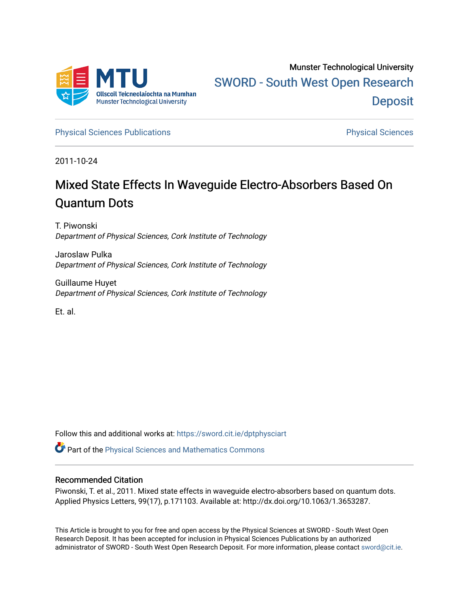

[Physical Sciences Publications](https://sword.cit.ie/dptphysciart) **Physical Sciences** Physical Sciences

2011-10-24

## Mixed State Effects In Waveguide Electro-Absorbers Based On Quantum Dots

T. Piwonski Department of Physical Sciences, Cork Institute of Technology

Jaroslaw Pulka Department of Physical Sciences, Cork Institute of Technology

Guillaume Huyet Department of Physical Sciences, Cork Institute of Technology

Et. al.

Follow this and additional works at: [https://sword.cit.ie/dptphysciart](https://sword.cit.ie/dptphysciart?utm_source=sword.cit.ie%2Fdptphysciart%2F31&utm_medium=PDF&utm_campaign=PDFCoverPages)

**C** Part of the Physical Sciences and Mathematics Commons

## Recommended Citation

Piwonski, T. et al., 2011. Mixed state effects in waveguide electro-absorbers based on quantum dots. Applied Physics Letters, 99(17), p.171103. Available at: http://dx.doi.org/10.1063/1.3653287.

This Article is brought to you for free and open access by the Physical Sciences at SWORD - South West Open Research Deposit. It has been accepted for inclusion in Physical Sciences Publications by an authorized administrator of SWORD - South West Open Research Deposit. For more information, please contact [sword@cit.ie.](mailto:sword@cit.ie)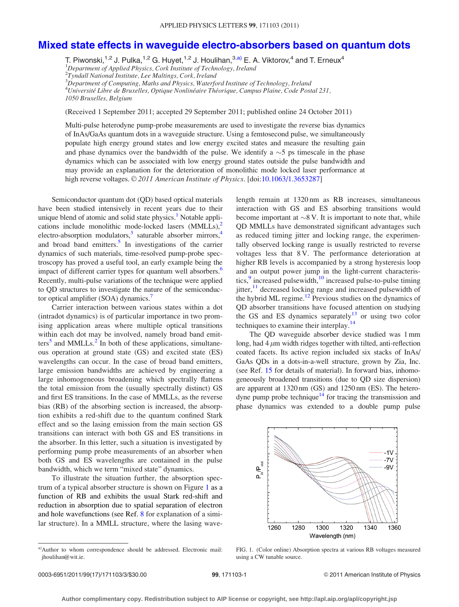## [Mixed state effects in waveguide electro-absorbers based on quantum dots](http://dx.doi.org/10.1063/1.3653287)

T. Piwonski,<sup>1,2</sup> J. Pulka,<sup>1,2</sup> G. Huyet,<sup>1,2</sup> J. Houlihan,<sup>3,a)</sup> E. A. Viktorov,<sup>4</sup> and T. Erneux<sup>4</sup> <sup>1</sup>Department of Applied Physics, Cork Institute of Technology, Ireland <sup>2</sup>Tyndall National Institute, Lee Maltings, Cork, Ireland  $^3$ Department of Computing, Maths and Physics, Waterford Institute of Technology, Ireland

<sup>4</sup>Université Libre de Bruxelles, Optique Nonlinéaire Théorique, Campus Plaine, Code Postal 231,

1050 Bruxelles, Belgium

(Received 1 September 2011; accepted 29 September 2011; published online 24 October 2011)

Multi-pulse heterodyne pump-probe measurements are used to investigate the reverse bias dynamics of InAs/GaAs quantum dots in a waveguide structure. Using a femtosecond pulse, we simultaneously populate high energy ground states and low energy excited states and measure the resulting gain and phase dynamics over the bandwidth of the pulse. We identify a  $\sim$  5 ps timescale in the phase dynamics which can be associated with low energy ground states outside the pulse bandwidth and may provide an explanation for the deterioration of monolithic mode locked laser performance at high reverse voltages.  $\odot$  2011 American Institute of Physics. [doi:[10.1063/1.3653287\]](http://dx.doi.org/10.1063/1.3653287)

Semiconductor quantum dot (QD) based optical materials have been studied intensively in recent years due to their unique blend of atomic and solid state physics.<sup>1</sup> Notable applications include monolithic mode-locked lasers (MMLLs),<sup>2</sup> electro-absorption modulators,<sup>3</sup> saturable absorber mirrors,<sup>4</sup> and broad band emitters.<sup>5</sup> In investigations of the carrier dynamics of such materials, time-resolved pump-probe spectroscopy has proved a useful tool, an early example being the impact of different carrier types for quantum well absorbers.<sup>6</sup> Recently, multi-pulse variations of the technique were applied to QD structures to investigate the nature of the semiconductor optical amplifier (SOA) dynamics.<sup>7</sup>

Carrier interaction between various states within a dot (intradot dynamics) is of particular importance in two promising application areas where multiple optical transitions within each dot may be involved, namely broad band emit $ters<sup>5</sup>$  and MMLLs.<sup>[2](#page-3-0)</sup> In both of these applications, simultaneous operation at ground state (GS) and excited state (ES) wavelengths can occur. In the case of broad band emitters, large emission bandwidths are achieved by engineering a large inhomogeneous broadening which spectrally flattens the total emission from the (usually spectrally distinct) GS and first ES transitions. In the case of MMLLs, as the reverse bias (RB) of the absorbing section is increased, the absorption exhibits a red-shift due to the quantum confined Stark effect and so the lasing emission from the main section GS transitions can interact with both GS and ES transitions in the absorber. In this letter, such a situation is investigated by performing pump probe measurements of an absorber when both GS and ES wavelengths are contained in the pulse bandwidth, which we term "mixed state" dynamics.

To illustrate the situation further, the absorption spectrum of a typical absorber structure is shown on Figure 1 as a function of RB and exhibits the usual Stark red-shift and reduction in absorption due to spatial separation of electron and hole wavefunctions (see Ref. [8](#page-3-0) for explanation of a similar structure). In a MMLL structure, where the lasing wavelength remain at 1320 nm as RB increases, simultaneous interaction with GS and ES absorbing transitions would become important at  $\sim 8$  V. It is important to note that, while QD MMLLs have demonstrated significant advantages such as reduced timing jitter and locking range, the experimentally observed locking range is usually restricted to reverse voltages less that 8 V. The performance deterioration at higher RB levels is accompanied by a strong hysteresis loop and an output power jump in the light-current characteristics, $9$  increased pulsewidth, $10$  increased pulse-to-pulse timing  $jitter, <sup>11</sup> decreased locking range and increased pulsewidth of$  $jitter, <sup>11</sup> decreased locking range and increased pulsewidth of$  $jitter, <sup>11</sup> decreased locking range and increased pulsewidth of$ the hybrid ML regime.<sup>12</sup> Previous studies on the dynamics of QD absorber transitions have focused attention on studying the GS and ES dynamics separately $13$  or using two color techniques to examine their interplay.[14](#page-3-0)

The QD waveguide absorber device studied was 1 mm long, had  $4 \mu m$  width ridges together with tilted, anti-reflection coated facets. Its active region included six stacks of InAs/ GaAs QDs in a dots-in-a-well structure, grown by Zia, Inc. (see Ref. [15](#page-3-0) for details of material). In forward bias, inhomogeneously broadened transitions (due to QD size dispersion) are apparent at 1320 nm (GS) and 1250 nm (ES). The heterodyne pump probe technique<sup>14</sup> for tracing the transmission and phase dynamics was extended to a double pump pulse



FIG. 1. (Color online) Absorption spectra at various RB voltages measured using a CW tunable source.

a)Author to whom correspondence should be addressed. Electronic mail: jhoulihan@wit.ie.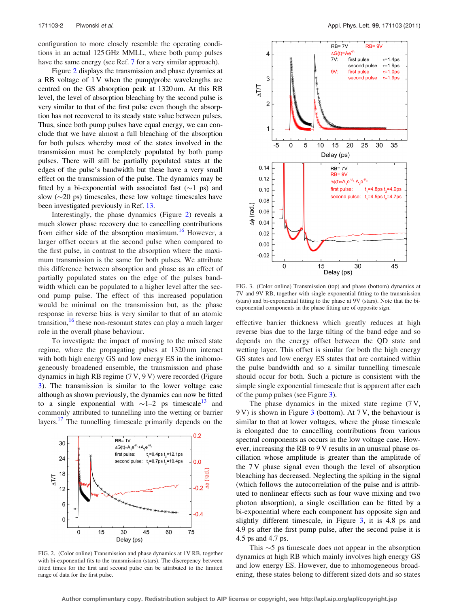configuration to more closely resemble the operating conditions in an actual 125 GHz MMLL, where both pump pulses have the same energy (see Ref. [7](#page-3-0) for a very similar approach).

Figure 2 displays the transmission and phase dynamics at a RB voltage of 1 V when the pump/probe wavelengths are centred on the GS absorption peak at 1320 nm. At this RB level, the level of absorption bleaching by the second pulse is very similar to that of the first pulse even though the absorption has not recovered to its steady state value between pulses. Thus, since both pump pulses have equal energy, we can conclude that we have almost a full bleaching of the absorption for both pulses whereby most of the states involved in the transmission must be completely populated by both pump pulses. There will still be partially populated states at the edges of the pulse's bandwidth but these have a very small effect on the transmission of the pulse. The dynamics may be fitted by a bi-exponential with associated fast  $(\sim 1 \text{ ps})$  and slow  $(\sim 20 \text{ ps})$  timescales, these low voltage timescales have been investigated previously in Ref. [13](#page-3-0).

Interestingly, the phase dynamics (Figure 2) reveals a much slower phase recovery due to cancelling contributions from either side of the absorption maximum.<sup>16</sup> However, a larger offset occurs at the second pulse when compared to the first pulse, in contrast to the absorption where the maximum transmission is the same for both pulses. We attribute this difference between absorption and phase as an effect of partially populated states on the edge of the pulses bandwidth which can be populated to a higher level after the second pump pulse. The effect of this increased population would be minimal on the transmission but, as the phase response in reverse bias is very similar to that of an atomic transition,<sup>[16](#page-3-0)</sup> these non-resonant states can play a much larger role in the overall phase behaviour.

To investigate the impact of moving to the mixed state regime, where the propagating pulses at 1320 nm interact with both high energy GS and low energy ES in the imhomogeneously broadened ensemble, the transmission and phase dynamics in high RB regime (7 V, 9 V) were recorded (Figure 3). The transmission is similar to the lower voltage case although as shown previously, the dynamics can now be fitted to a single exponential with  $\sim$ 1–2 ps timescale<sup>13</sup> and commonly attributed to tunnelling into the wetting or barrier layers.<sup>17</sup> The tunnelling timescale primarily depends on the



FIG. 2. (Color online) Transmission and phase dynamics at 1V RB, together with bi-exponential fits to the transmission (stars). The discrepency between fitted times for the first and second pulse can be attributed to the limited range of data for the first pulse.



FIG. 3. (Color online) Transmission (top) and phase (bottom) dynamics at 7V and 9V RB, together with single exponential fitting to the transmission (stars) and bi-exponential fitting to the phase at 9V (stars). Note that the biexponential components in the phase fitting are of opposite sign.

effective barrier thickness which greatly reduces at high reverse bias due to the large tilting of the band edge and so depends on the energy offset between the QD state and wetting layer. This offset is similar for both the high energy GS states and low energy ES states that are contained within the pulse bandwidth and so a similar tunnelling timescale should occur for both. Such a picture is consistent with the simple single exponential timescale that is apparent after each of the pump pulses (see Figure 3).

The phase dynamics in the mixed state regime (7 V, 9 V) is shown in Figure 3 (bottom). At 7 V, the behaviour is similar to that at lower voltages, where the phase timescale is elongated due to cancelling contributions from various spectral components as occurs in the low voltage case. However, increasing the RB to 9 V results in an unusual phase oscillation whose amplitude is greater than the amplitude of the 7 V phase signal even though the level of absorption bleaching has decreased. Neglecting the spiking in the signal (which follows the autocorrelation of the pulse and is attributed to nonlinear effects such as four wave mixing and two photon absorption), a single oscillation can be fitted by a bi-exponential where each component has opposite sign and slightly different timescale, in Figure 3, it is 4.8 ps and 4.9 ps after the first pump pulse, after the second pulse it is 4.5 ps and 4.7 ps.

This  $\sim$  5 ps timescale does not appear in the absorption dynamics at high RB which mainly involves high energy GS and low energy ES. However, due to inhomogeneous broadening, these states belong to different sized dots and so states